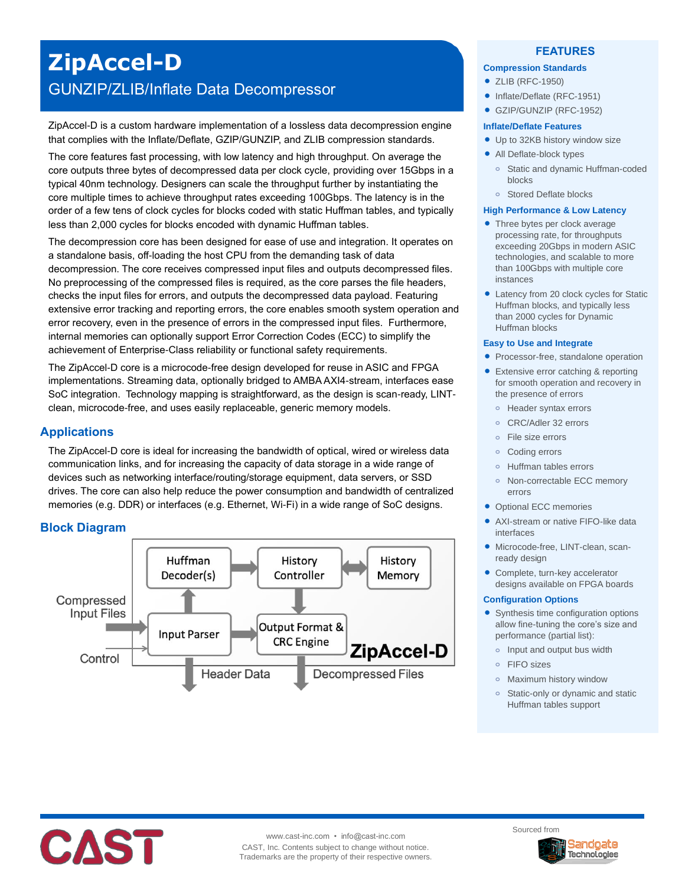# **ZipAccel-D** GUNZIP/ZLIB/Inflate Data Decompressor

ZipAccel-D is a custom hardware implementation of a lossless data decompression engine that complies with the Inflate/Deflate, GZIP/GUNZIP, and ZLIB compression standards.

The core features fast processing, with low latency and high throughput. On average the core outputs three bytes of decompressed data per clock cycle, providing over 15Gbps in a typical 40nm technology. Designers can scale the throughput further by instantiating the core multiple times to achieve throughput rates exceeding 100Gbps. The latency is in the order of a few tens of clock cycles for blocks coded with static Huffman tables, and typically less than 2,000 cycles for blocks encoded with dynamic Huffman tables.

The decompression core has been designed for ease of use and integration. It operates on a standalone basis, off-loading the host CPU from the demanding task of data decompression. The core receives compressed input files and outputs decompressed files. No preprocessing of the compressed files is required, as the core parses the file headers, checks the input files for errors, and outputs the decompressed data payload. Featuring extensive error tracking and reporting errors, the core enables smooth system operation and error recovery, even in the presence of errors in the compressed input files. Furthermore, internal memories can optionally support Error Correction Codes (ECC) to simplify the achievement of Enterprise-Class reliability or functional safety requirements.

The ZipAccel-D core is a microcode-free design developed for reuse in ASIC and FPGA implementations. Streaming data, optionally bridged to AMBA AXI4-stream, interfaces ease SoC integration. Technology mapping is straightforward, as the design is scan-ready, LINTclean, microcode-free, and uses easily replaceable, generic memory models.

# **Applications**

The ZipAccel-D core is ideal for increasing the bandwidth of optical, wired or wireless data communication links, and for increasing the capacity of data storage in a wide range of devices such as networking interface/routing/storage equipment, data servers, or SSD drives. The core can also help reduce the power consumption and bandwidth of centralized memories (e.g. DDR) or interfaces (e.g. Ethernet, Wi-Fi) in a wide range of SoC designs.

# **Block Diagram**



## **FEATURES**

#### **Compression Standards**

- ZLIB (RFC-1950)
- Inflate/Deflate (RFC-1951)
- GZIP/GUNZIP (RFC-1952)

### **Inflate/Deflate Features**

- Up to 32KB history window size
- All Deflate-block types
	- **o** Static and dynamic Huffman-coded blocks
	- **o** Stored Deflate blocks

#### **High Performance & Low Latency**

- Three bytes per clock average processing rate, for throughputs exceeding 20Gbps in modern ASIC technologies, and scalable to more than 100Gbps with multiple core instances
- Latency from 20 clock cycles for Static Huffman blocks, and typically less than 2000 cycles for Dynamic Huffman blocks

#### **Easy to Use and Integrate**

- Processor-free, standalone operation
- Extensive error catching & reporting for smooth operation and recovery in the presence of errors
	- **o** Header syntax errors
	- **o** CRC/Adler 32 errors
	- **o** File size errors
	- **o** Coding errors
	- **o** Huffman tables errors
	- **o** Non-correctable ECC memory errors
- Optional ECC memories
- AXI-stream or native FIFO-like data interfaces
- Microcode-free, LINT-clean, scanready design
- Complete, turn-key accelerator designs available on FPGA boards

#### **Configuration Options**

- Synthesis time configuration options allow fine-tuning the core's size and performance (partial list):
	- **o** Input and output bus width
	- **o** FIFO sizes
	- **o** Maximum history window
	- **o** Static-only or dynamic and static Huffman tables support